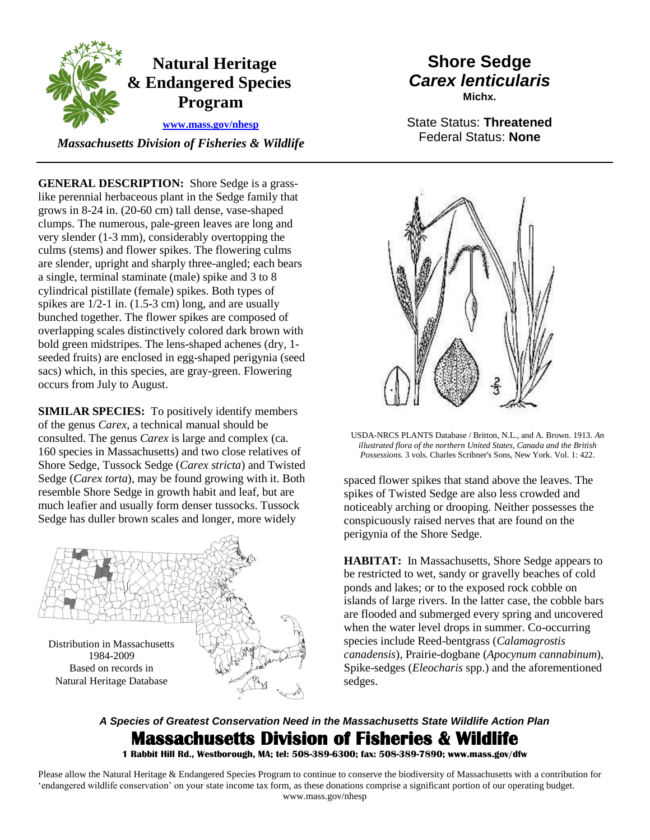

 *Massachusetts Division of Fisheries & Wildlife* 

**GENERAL DESCRIPTION:** Shore Sedge is a grasslike perennial herbaceous plant in the Sedge family that grows in 8-24 in. (20-60 cm) tall dense, vase-shaped clumps. The numerous, pale-green leaves are long and very slender (1-3 mm), considerably overtopping the culms (stems) and flower spikes. The flowering culms are slender, upright and sharply three-angled; each bears a single, terminal staminate (male) spike and 3 to 8 cylindrical pistillate (female) spikes. Both types of spikes are  $1/2-1$  in.  $(1.5-3 \text{ cm})$  long, and are usually bunched together. The flower spikes are composed of overlapping scales distinctively colored dark brown with bold green midstripes. The lens-shaped achenes (dry, 1 seeded fruits) are enclosed in egg-shaped perigynia (seed sacs) which, in this species, are gray-green. Flowering occurs from July to August.

**SIMILAR SPECIES:** To positively identify members of the genus *Carex*, a technical manual should be consulted. The genus *Carex* is large and complex (ca. 160 species in Massachusetts) and two close relatives of Shore Sedge, Tussock Sedge (*Carex stricta*) and Twisted Sedge (*Carex torta*), may be found growing with it. Both resemble Shore Sedge in growth habit and leaf, but are much leafier and usually form denser tussocks. Tussock Sedge has duller brown scales and longer, more widely



## **Shore Sedge** *Carex lenticularis* **Michx.**

State Status: **Threatened** Federal Status: **None**



USDA-NRCS PLANTS Database / Britton, N.L., and A. Brown. 1913. *An illustrated flora of the northern United States, Canada and the British Possessions.* 3 vols. Charles Scribner's Sons, New York. Vol. 1: 422.

spaced flower spikes that stand above the leaves. The spikes of Twisted Sedge are also less crowded and noticeably arching or drooping. Neither possesses the conspicuously raised nerves that are found on the perigynia of the Shore Sedge.

**HABITAT:** In Massachusetts, Shore Sedge appears to be restricted to wet, sandy or gravelly beaches of cold ponds and lakes; or to the exposed rock cobble on islands of large rivers. In the latter case, the cobble bars are flooded and submerged every spring and uncovered when the water level drops in summer. Co-occurring species include Reed-bentgrass (*Calamagrostis canadensis*), Prairie-dogbane (*Apocynum cannabinum*), Spike-sedges (*Eleocharis* spp.) and the aforementioned sedges.

## *A Species of Greatest Conservation Need in the Massachusetts State Wildlife Action Plan*  **Massachusetts Division of Fisheries & Wildlife**

**1 Rabbit Hill Rd., Westborough, MA; tel: 508-389-6300; fax: 508-389-7890; www.mass.gov/dfw** 

Please allow the Natural Heritage & Endangered Species Program to continue to conserve the biodiversity of Massachusetts with a contribution for 'endangered wildlife conservation' on your state income tax form, as these donations comprise a significant portion of our operating budget. www.mass.gov/nhesp